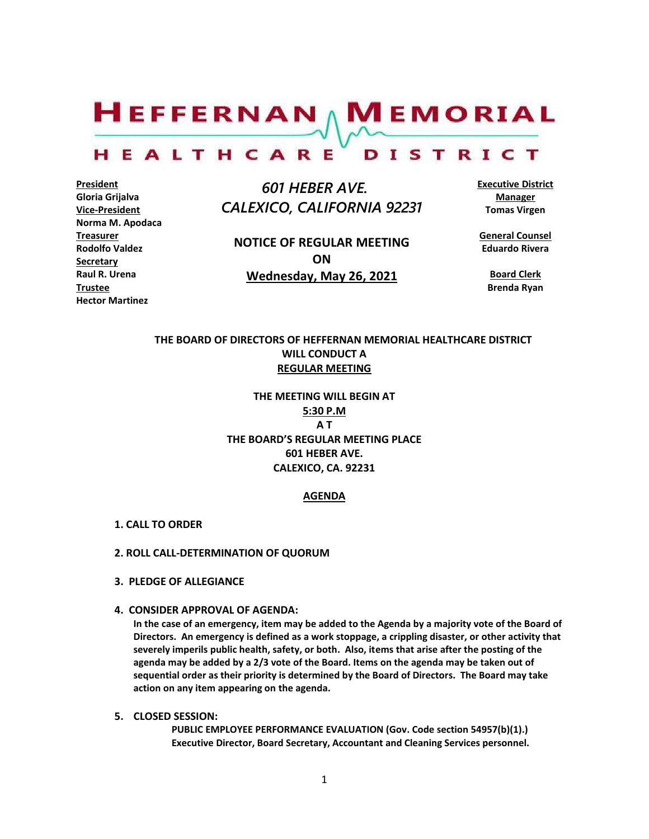$H$ EFFERNAN  $\wedge$  M EMORIAL

#### HEALTHCARE DISTRICT

**President Gloria Grijalva Vice-President Norma M. Apodaca Treasurer Rodolfo Valdez Secretary Raul R. Urena Trustee Hector Martinez**

 *601 HEBER AVE. CALEXICO, CALIFORNIA 92231*

**NOTICE OF REGULAR MEETING ON Wednesday, May 26, 2021**

**Executive District Manager Tomas Virgen**

**General Counsel Eduardo Rivera**

**Board Clerk Brenda Ryan**

### **THE BOARD OF DIRECTORS OF HEFFERNAN MEMORIAL HEALTHCARE DISTRICT WILL CONDUCT A REGULAR MEETING**

**THE MEETING WILL BEGIN AT 5:30 P.M A T THE BOARD'S REGULAR MEETING PLACE 601 HEBER AVE. CALEXICO, CA. 92231**

#### **AGENDA**

- **1. CALL TO ORDER**
- **2. ROLL CALL-DETERMINATION OF QUORUM**
- **3. PLEDGE OF ALLEGIANCE**
- **4. CONSIDER APPROVAL OF AGENDA:**

**In the case of an emergency, item may be added to the Agenda by a majority vote of the Board of Directors. An emergency is defined as a work stoppage, a crippling disaster, or other activity that severely imperils public health, safety, or both. Also, items that arise after the posting of the agenda may be added by a 2/3 vote of the Board. Items on the agenda may be taken out of sequential order as their priority is determined by the Board of Directors. The Board may take action on any item appearing on the agenda.**

**5. CLOSED SESSION:** 

**PUBLIC EMPLOYEE PERFORMANCE EVALUATION (Gov. Code section 54957(b)(1).) Executive Director, Board Secretary, Accountant and Cleaning Services personnel.**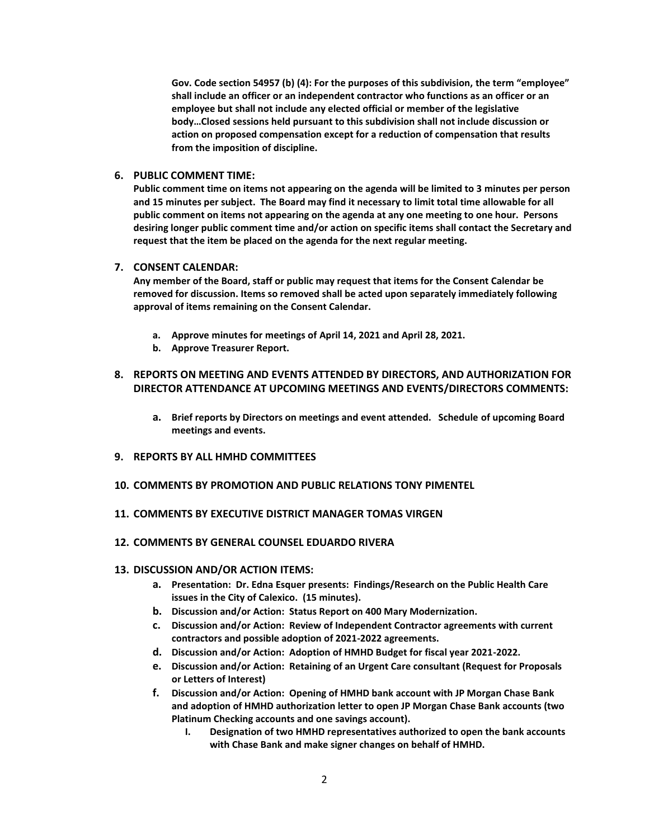**Gov. Code section 54957 (b) (4): For the purposes of this subdivision, the term "employee" shall include an officer or an independent contractor who functions as an officer or an employee but shall not include any elected official or member of the legislative body…Closed sessions held pursuant to this subdivision shall not include discussion or action on proposed compensation except for a reduction of compensation that results from the imposition of discipline.**

#### **6. PUBLIC COMMENT TIME:**

**Public comment time on items not appearing on the agenda will be limited to 3 minutes per person and 15 minutes per subject. The Board may find it necessary to limit total time allowable for all public comment on items not appearing on the agenda at any one meeting to one hour. Persons desiring longer public comment time and/or action on specific items shall contact the Secretary and request that the item be placed on the agenda for the next regular meeting.**

#### **7. CONSENT CALENDAR:**

**Any member of the Board, staff or public may request that items for the Consent Calendar be removed for discussion. Items so removed shall be acted upon separately immediately following approval of items remaining on the Consent Calendar.**

- **a. Approve minutes for meetings of April 14, 2021 and April 28, 2021.**
- **b. Approve Treasurer Report.**

#### **8. REPORTS ON MEETING AND EVENTS ATTENDED BY DIRECTORS, AND AUTHORIZATION FOR DIRECTOR ATTENDANCE AT UPCOMING MEETINGS AND EVENTS/DIRECTORS COMMENTS:**

- **a. Brief reports by Directors on meetings and event attended. Schedule of upcoming Board meetings and events.**
- **9. REPORTS BY ALL HMHD COMMITTEES**
- **10. COMMENTS BY PROMOTION AND PUBLIC RELATIONS TONY PIMENTEL**
- **11. COMMENTS BY EXECUTIVE DISTRICT MANAGER TOMAS VIRGEN**
- **12. COMMENTS BY GENERAL COUNSEL EDUARDO RIVERA**

#### **13. DISCUSSION AND/OR ACTION ITEMS:**

- **a. Presentation: Dr. Edna Esquer presents: Findings/Research on the Public Health Care issues in the City of Calexico. (15 minutes).**
- **b. Discussion and/or Action: Status Report on 400 Mary Modernization.**
- **c. Discussion and/or Action: Review of Independent Contractor agreements with current contractors and possible adoption of 2021-2022 agreements.**
- **d. Discussion and/or Action: Adoption of HMHD Budget for fiscal year 2021-2022.**
- **e. Discussion and/or Action: Retaining of an Urgent Care consultant (Request for Proposals or Letters of Interest)**
- **f. Discussion and/or Action: Opening of HMHD bank account with JP Morgan Chase Bank and adoption of HMHD authorization letter to open JP Morgan Chase Bank accounts (two Platinum Checking accounts and one savings account).**
	- **I. Designation of two HMHD representatives authorized to open the bank accounts with Chase Bank and make signer changes on behalf of HMHD.**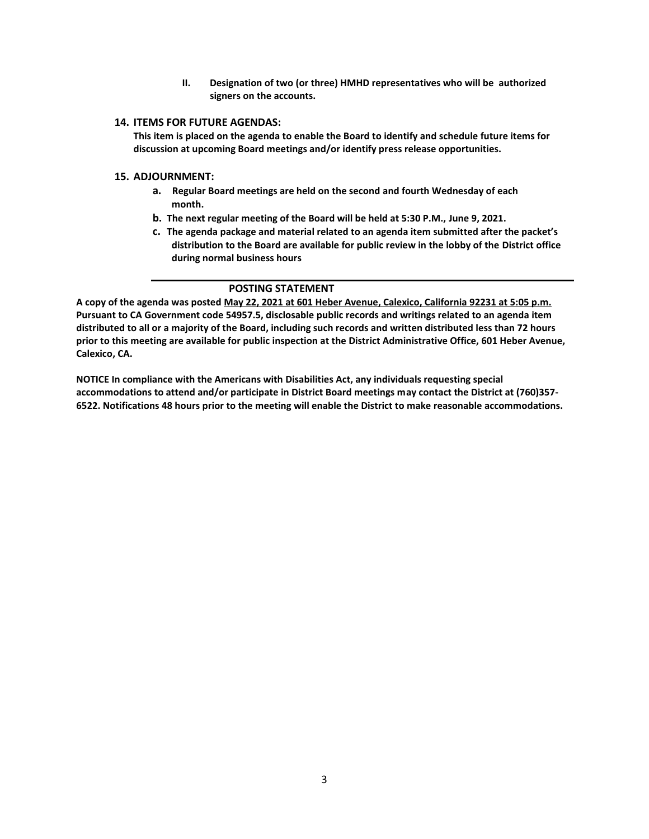**II. Designation of two (or three) HMHD representatives who will be authorized signers on the accounts.**

#### **14. ITEMS FOR FUTURE AGENDAS:**

**This item is placed on the agenda to enable the Board to identify and schedule future items for discussion at upcoming Board meetings and/or identify press release opportunities.**

#### **15. ADJOURNMENT:**

- **a. Regular Board meetings are held on the second and fourth Wednesday of each month.**
- **b. The next regular meeting of the Board will be held at 5:30 P.M., June 9, 2021.**
- **c. The agenda package and material related to an agenda item submitted after the packet's distribution to the Board are available for public review in the lobby of the District office during normal business hours**

#### **POSTING STATEMENT**

**A copy of the agenda was posted May 22, 2021 at 601 Heber Avenue, Calexico, California 92231 at 5:05 p.m. Pursuant to CA Government code 54957.5, disclosable public records and writings related to an agenda item distributed to all or a majority of the Board, including such records and written distributed less than 72 hours prior to this meeting are available for public inspection at the District Administrative Office, 601 Heber Avenue, Calexico, CA.**

**NOTICE In compliance with the Americans with Disabilities Act, any individuals requesting special accommodations to attend and/or participate in District Board meetings may contact the District at (760)357- 6522. Notifications 48 hours prior to the meeting will enable the District to make reasonable accommodations.**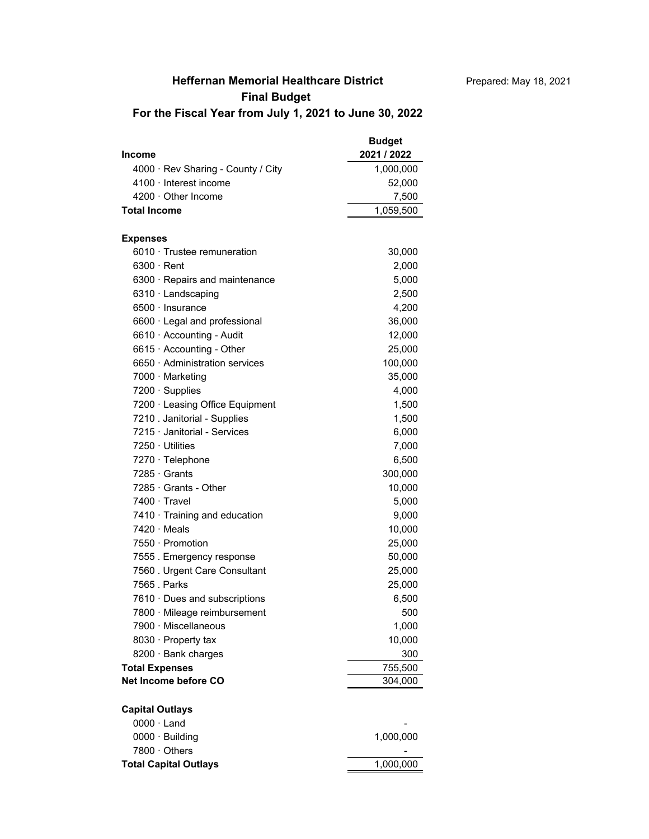## **Heffernan Memorial Healthcare District**

## **Final Budget**

**For the Fiscal Year from July 1, 2021 to June 30, 2022**

| 4000 · Rev Sharing - County / City<br>1,000,000<br>4100 · Interest income<br>52,000<br>$4200 \cdot$ Other Income<br>7,500<br><b>Total Income</b><br>1,059,500<br><b>Expenses</b><br>6010 Trustee remuneration<br>30,000<br>$6300 \cdot$ Rent<br>2,000<br>5,000<br>6300 · Repairs and maintenance<br>6310 Landscaping<br>2,500<br>$6500 \cdot$ Insurance<br>4,200<br>6600 · Legal and professional<br>36,000<br>6610 · Accounting - Audit<br>12,000<br>6615 · Accounting - Other<br>25,000<br>6650 Administration services<br>100,000<br>7000 · Marketing<br>35,000<br>4,000<br>7200 · Supplies<br>7200 · Leasing Office Equipment<br>1,500<br>7210 . Janitorial - Supplies<br>1,500<br>7215 Janitorial - Services<br>6,000<br>7250 · Utilities<br>7,000<br>7270 · Telephone<br>6,500<br>7285 Grants<br>300,000<br>$7285 \cdot$ Grants - Other<br>10,000<br>7400 Travel<br>5,000<br>7410 · Training and education<br>9,000<br>$7420 \cdot$ Meals<br>10,000<br>7550 · Promotion<br>25,000<br>50,000<br>7555. Emergency response<br>7560 . Urgent Care Consultant<br>25,000<br>7565 . Parks<br>25,000<br>6,500<br>7610 Dues and subscriptions<br>7800 · Mileage reimbursement<br>500<br>7900 · Miscellaneous<br>1,000<br>8030 · Property tax<br>10,000<br>300<br>8200 · Bank charges<br>755,500<br><b>Total Expenses</b><br>Net Income before CO<br>304,000<br><b>Capital Outlays</b><br>$0000 \cdot$ Land<br>0000 · Building<br>1,000,000<br>7800 · Others<br><b>Total Capital Outlays</b><br>1,000,000 | <b>Income</b> | <b>Budget</b><br>2021 / 2022 |
|-------------------------------------------------------------------------------------------------------------------------------------------------------------------------------------------------------------------------------------------------------------------------------------------------------------------------------------------------------------------------------------------------------------------------------------------------------------------------------------------------------------------------------------------------------------------------------------------------------------------------------------------------------------------------------------------------------------------------------------------------------------------------------------------------------------------------------------------------------------------------------------------------------------------------------------------------------------------------------------------------------------------------------------------------------------------------------------------------------------------------------------------------------------------------------------------------------------------------------------------------------------------------------------------------------------------------------------------------------------------------------------------------------------------------------------------------------------------------------------------------------|---------------|------------------------------|
|                                                                                                                                                                                                                                                                                                                                                                                                                                                                                                                                                                                                                                                                                                                                                                                                                                                                                                                                                                                                                                                                                                                                                                                                                                                                                                                                                                                                                                                                                                       |               |                              |
|                                                                                                                                                                                                                                                                                                                                                                                                                                                                                                                                                                                                                                                                                                                                                                                                                                                                                                                                                                                                                                                                                                                                                                                                                                                                                                                                                                                                                                                                                                       |               |                              |
|                                                                                                                                                                                                                                                                                                                                                                                                                                                                                                                                                                                                                                                                                                                                                                                                                                                                                                                                                                                                                                                                                                                                                                                                                                                                                                                                                                                                                                                                                                       |               |                              |
|                                                                                                                                                                                                                                                                                                                                                                                                                                                                                                                                                                                                                                                                                                                                                                                                                                                                                                                                                                                                                                                                                                                                                                                                                                                                                                                                                                                                                                                                                                       |               |                              |
|                                                                                                                                                                                                                                                                                                                                                                                                                                                                                                                                                                                                                                                                                                                                                                                                                                                                                                                                                                                                                                                                                                                                                                                                                                                                                                                                                                                                                                                                                                       |               |                              |
|                                                                                                                                                                                                                                                                                                                                                                                                                                                                                                                                                                                                                                                                                                                                                                                                                                                                                                                                                                                                                                                                                                                                                                                                                                                                                                                                                                                                                                                                                                       |               |                              |
|                                                                                                                                                                                                                                                                                                                                                                                                                                                                                                                                                                                                                                                                                                                                                                                                                                                                                                                                                                                                                                                                                                                                                                                                                                                                                                                                                                                                                                                                                                       |               |                              |
|                                                                                                                                                                                                                                                                                                                                                                                                                                                                                                                                                                                                                                                                                                                                                                                                                                                                                                                                                                                                                                                                                                                                                                                                                                                                                                                                                                                                                                                                                                       |               |                              |
|                                                                                                                                                                                                                                                                                                                                                                                                                                                                                                                                                                                                                                                                                                                                                                                                                                                                                                                                                                                                                                                                                                                                                                                                                                                                                                                                                                                                                                                                                                       |               |                              |
|                                                                                                                                                                                                                                                                                                                                                                                                                                                                                                                                                                                                                                                                                                                                                                                                                                                                                                                                                                                                                                                                                                                                                                                                                                                                                                                                                                                                                                                                                                       |               |                              |
|                                                                                                                                                                                                                                                                                                                                                                                                                                                                                                                                                                                                                                                                                                                                                                                                                                                                                                                                                                                                                                                                                                                                                                                                                                                                                                                                                                                                                                                                                                       |               |                              |
|                                                                                                                                                                                                                                                                                                                                                                                                                                                                                                                                                                                                                                                                                                                                                                                                                                                                                                                                                                                                                                                                                                                                                                                                                                                                                                                                                                                                                                                                                                       |               |                              |
|                                                                                                                                                                                                                                                                                                                                                                                                                                                                                                                                                                                                                                                                                                                                                                                                                                                                                                                                                                                                                                                                                                                                                                                                                                                                                                                                                                                                                                                                                                       |               |                              |
|                                                                                                                                                                                                                                                                                                                                                                                                                                                                                                                                                                                                                                                                                                                                                                                                                                                                                                                                                                                                                                                                                                                                                                                                                                                                                                                                                                                                                                                                                                       |               |                              |
|                                                                                                                                                                                                                                                                                                                                                                                                                                                                                                                                                                                                                                                                                                                                                                                                                                                                                                                                                                                                                                                                                                                                                                                                                                                                                                                                                                                                                                                                                                       |               |                              |
|                                                                                                                                                                                                                                                                                                                                                                                                                                                                                                                                                                                                                                                                                                                                                                                                                                                                                                                                                                                                                                                                                                                                                                                                                                                                                                                                                                                                                                                                                                       |               |                              |
|                                                                                                                                                                                                                                                                                                                                                                                                                                                                                                                                                                                                                                                                                                                                                                                                                                                                                                                                                                                                                                                                                                                                                                                                                                                                                                                                                                                                                                                                                                       |               |                              |
|                                                                                                                                                                                                                                                                                                                                                                                                                                                                                                                                                                                                                                                                                                                                                                                                                                                                                                                                                                                                                                                                                                                                                                                                                                                                                                                                                                                                                                                                                                       |               |                              |
|                                                                                                                                                                                                                                                                                                                                                                                                                                                                                                                                                                                                                                                                                                                                                                                                                                                                                                                                                                                                                                                                                                                                                                                                                                                                                                                                                                                                                                                                                                       |               |                              |
|                                                                                                                                                                                                                                                                                                                                                                                                                                                                                                                                                                                                                                                                                                                                                                                                                                                                                                                                                                                                                                                                                                                                                                                                                                                                                                                                                                                                                                                                                                       |               |                              |
|                                                                                                                                                                                                                                                                                                                                                                                                                                                                                                                                                                                                                                                                                                                                                                                                                                                                                                                                                                                                                                                                                                                                                                                                                                                                                                                                                                                                                                                                                                       |               |                              |
|                                                                                                                                                                                                                                                                                                                                                                                                                                                                                                                                                                                                                                                                                                                                                                                                                                                                                                                                                                                                                                                                                                                                                                                                                                                                                                                                                                                                                                                                                                       |               |                              |
|                                                                                                                                                                                                                                                                                                                                                                                                                                                                                                                                                                                                                                                                                                                                                                                                                                                                                                                                                                                                                                                                                                                                                                                                                                                                                                                                                                                                                                                                                                       |               |                              |
|                                                                                                                                                                                                                                                                                                                                                                                                                                                                                                                                                                                                                                                                                                                                                                                                                                                                                                                                                                                                                                                                                                                                                                                                                                                                                                                                                                                                                                                                                                       |               |                              |
|                                                                                                                                                                                                                                                                                                                                                                                                                                                                                                                                                                                                                                                                                                                                                                                                                                                                                                                                                                                                                                                                                                                                                                                                                                                                                                                                                                                                                                                                                                       |               |                              |
|                                                                                                                                                                                                                                                                                                                                                                                                                                                                                                                                                                                                                                                                                                                                                                                                                                                                                                                                                                                                                                                                                                                                                                                                                                                                                                                                                                                                                                                                                                       |               |                              |
|                                                                                                                                                                                                                                                                                                                                                                                                                                                                                                                                                                                                                                                                                                                                                                                                                                                                                                                                                                                                                                                                                                                                                                                                                                                                                                                                                                                                                                                                                                       |               |                              |
|                                                                                                                                                                                                                                                                                                                                                                                                                                                                                                                                                                                                                                                                                                                                                                                                                                                                                                                                                                                                                                                                                                                                                                                                                                                                                                                                                                                                                                                                                                       |               |                              |
|                                                                                                                                                                                                                                                                                                                                                                                                                                                                                                                                                                                                                                                                                                                                                                                                                                                                                                                                                                                                                                                                                                                                                                                                                                                                                                                                                                                                                                                                                                       |               |                              |
|                                                                                                                                                                                                                                                                                                                                                                                                                                                                                                                                                                                                                                                                                                                                                                                                                                                                                                                                                                                                                                                                                                                                                                                                                                                                                                                                                                                                                                                                                                       |               |                              |
|                                                                                                                                                                                                                                                                                                                                                                                                                                                                                                                                                                                                                                                                                                                                                                                                                                                                                                                                                                                                                                                                                                                                                                                                                                                                                                                                                                                                                                                                                                       |               |                              |
|                                                                                                                                                                                                                                                                                                                                                                                                                                                                                                                                                                                                                                                                                                                                                                                                                                                                                                                                                                                                                                                                                                                                                                                                                                                                                                                                                                                                                                                                                                       |               |                              |
|                                                                                                                                                                                                                                                                                                                                                                                                                                                                                                                                                                                                                                                                                                                                                                                                                                                                                                                                                                                                                                                                                                                                                                                                                                                                                                                                                                                                                                                                                                       |               |                              |
|                                                                                                                                                                                                                                                                                                                                                                                                                                                                                                                                                                                                                                                                                                                                                                                                                                                                                                                                                                                                                                                                                                                                                                                                                                                                                                                                                                                                                                                                                                       |               |                              |
|                                                                                                                                                                                                                                                                                                                                                                                                                                                                                                                                                                                                                                                                                                                                                                                                                                                                                                                                                                                                                                                                                                                                                                                                                                                                                                                                                                                                                                                                                                       |               |                              |
|                                                                                                                                                                                                                                                                                                                                                                                                                                                                                                                                                                                                                                                                                                                                                                                                                                                                                                                                                                                                                                                                                                                                                                                                                                                                                                                                                                                                                                                                                                       |               |                              |
|                                                                                                                                                                                                                                                                                                                                                                                                                                                                                                                                                                                                                                                                                                                                                                                                                                                                                                                                                                                                                                                                                                                                                                                                                                                                                                                                                                                                                                                                                                       |               |                              |
|                                                                                                                                                                                                                                                                                                                                                                                                                                                                                                                                                                                                                                                                                                                                                                                                                                                                                                                                                                                                                                                                                                                                                                                                                                                                                                                                                                                                                                                                                                       |               |                              |
|                                                                                                                                                                                                                                                                                                                                                                                                                                                                                                                                                                                                                                                                                                                                                                                                                                                                                                                                                                                                                                                                                                                                                                                                                                                                                                                                                                                                                                                                                                       |               |                              |
|                                                                                                                                                                                                                                                                                                                                                                                                                                                                                                                                                                                                                                                                                                                                                                                                                                                                                                                                                                                                                                                                                                                                                                                                                                                                                                                                                                                                                                                                                                       |               |                              |
|                                                                                                                                                                                                                                                                                                                                                                                                                                                                                                                                                                                                                                                                                                                                                                                                                                                                                                                                                                                                                                                                                                                                                                                                                                                                                                                                                                                                                                                                                                       |               |                              |
|                                                                                                                                                                                                                                                                                                                                                                                                                                                                                                                                                                                                                                                                                                                                                                                                                                                                                                                                                                                                                                                                                                                                                                                                                                                                                                                                                                                                                                                                                                       |               |                              |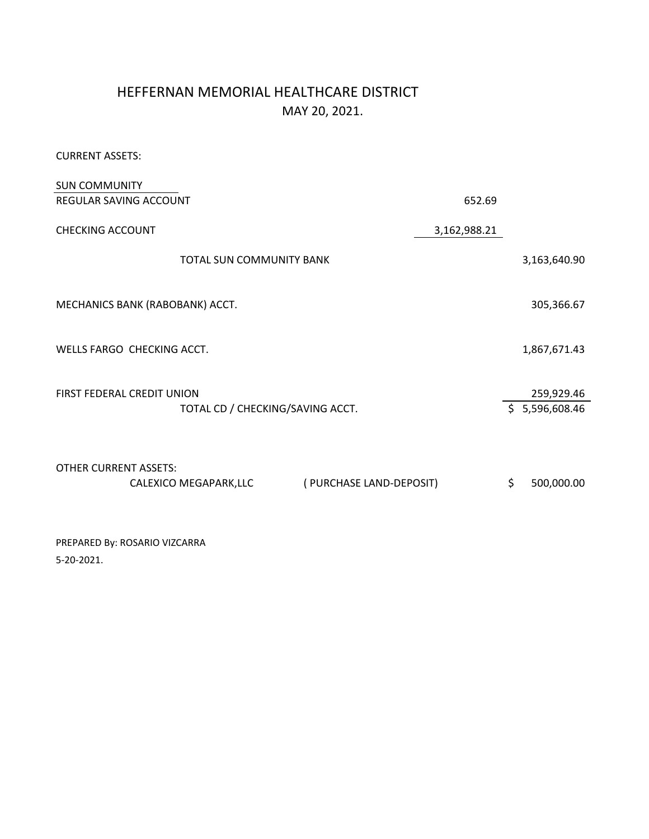# HEFFERNAN MEMORIAL HEALTHCARE DISTRICT MAY 20, 2021.

CURRENT ASSETS:

| <b>SUN COMMUNITY</b>                              |              |                |
|---------------------------------------------------|--------------|----------------|
| <b>REGULAR SAVING ACCOUNT</b>                     | 652.69       |                |
| <b>CHECKING ACCOUNT</b>                           | 3,162,988.21 |                |
| TOTAL SUN COMMUNITY BANK                          |              | 3,163,640.90   |
|                                                   |              |                |
| MECHANICS BANK (RABOBANK) ACCT.                   |              | 305,366.67     |
|                                                   |              |                |
| WELLS FARGO CHECKING ACCT.                        |              | 1,867,671.43   |
|                                                   |              |                |
| FIRST FEDERAL CREDIT UNION                        |              | 259,929.46     |
| TOTAL CD / CHECKING/SAVING ACCT.                  |              | \$5,596,608.46 |
|                                                   |              |                |
| <b>OTHER CURRENT ASSETS:</b>                      |              |                |
| (PURCHASE LAND-DEPOSIT)<br>CALEXICO MEGAPARK, LLC | \$           | 500,000.00     |
|                                                   |              |                |

PREPARED By: ROSARIO VIZCARRA 5-20-2021.